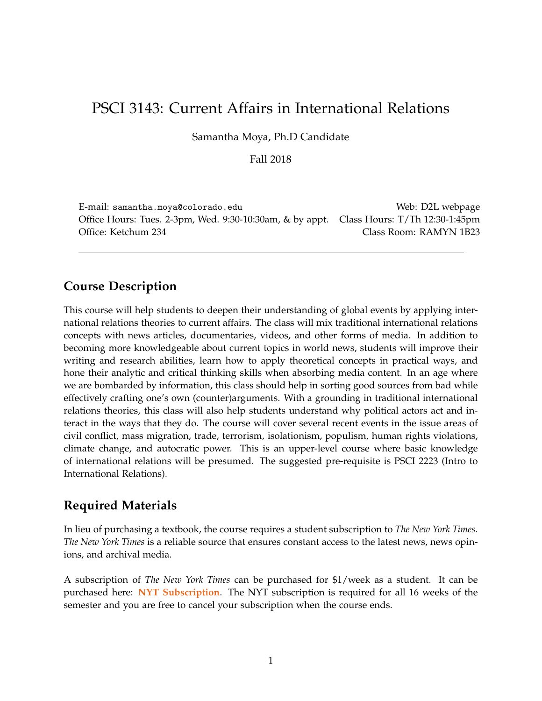# PSCI 3143: Current Affairs in International Relations

Samantha Moya, Ph.D Candidate

Fall 2018

E-mail: samantha.moya@colorado.edu Web: D2L webpage Office Hours: Tues. 2-3pm, Wed. 9:30-10:30am, & by appt. Class Hours: T/Th 12:30-1:45pm Office: Ketchum 234 Class Room: RAMYN 1B23

## **Course Description**

This course will help students to deepen their understanding of global events by applying international relations theories to current affairs. The class will mix traditional international relations concepts with news articles, documentaries, videos, and other forms of media. In addition to becoming more knowledgeable about current topics in world news, students will improve their writing and research abilities, learn how to apply theoretical concepts in practical ways, and hone their analytic and critical thinking skills when absorbing media content. In an age where we are bombarded by information, this class should help in sorting good sources from bad while effectively crafting one's own (counter)arguments. With a grounding in traditional international relations theories, this class will also help students understand why political actors act and interact in the ways that they do. The course will cover several recent events in the issue areas of civil conflict, mass migration, trade, terrorism, isolationism, populism, human rights violations, climate change, and autocratic power. This is an upper-level course where basic knowledge of international relations will be presumed. The suggested pre-requisite is PSCI 2223 (Intro to International Relations).

# **Required Materials**

In lieu of purchasing a textbook, the course requires a student subscription to *The New York Times*. *The New York Times* is a reliable source that ensures constant access to the latest news, news opinions, and archival media.

A subscription of *The New York Times* can be purchased for \$1/week as a student. It can be purchased here: **[NYT Subscription](https://www.nytimes.com/subscriptions/edu/lp8LQFK.html?campaignId=6XU6Y)**. The NYT subscription is required for all 16 weeks of the semester and you are free to cancel your subscription when the course ends.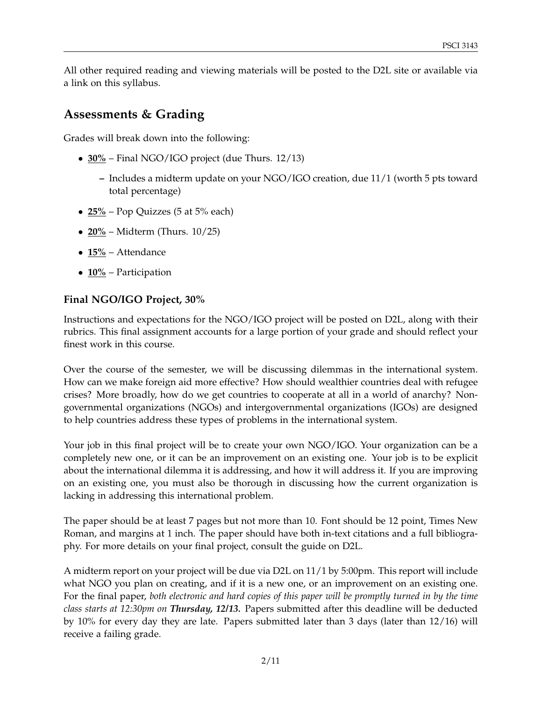All other required reading and viewing materials will be posted to the D2L site or available via a link on this syllabus.

## **Assessments & Grading**

Grades will break down into the following:

- **30%** Final NGO/IGO project (due Thurs. 12/13)
	- **–** Includes a midterm update on your NGO/IGO creation, due 11/1 (worth 5 pts toward total percentage)
- **25%** Pop Quizzes (5 at 5% each)
- **20%** Midterm (Thurs. 10/25)
- **15%** Attendance
- **10%** Participation

### **Final NGO/IGO Project, 30%**

Instructions and expectations for the NGO/IGO project will be posted on D2L, along with their rubrics. This final assignment accounts for a large portion of your grade and should reflect your finest work in this course.

Over the course of the semester, we will be discussing dilemmas in the international system. How can we make foreign aid more effective? How should wealthier countries deal with refugee crises? More broadly, how do we get countries to cooperate at all in a world of anarchy? Nongovernmental organizations (NGOs) and intergovernmental organizations (IGOs) are designed to help countries address these types of problems in the international system.

Your job in this final project will be to create your own NGO/IGO. Your organization can be a completely new one, or it can be an improvement on an existing one. Your job is to be explicit about the international dilemma it is addressing, and how it will address it. If you are improving on an existing one, you must also be thorough in discussing how the current organization is lacking in addressing this international problem.

The paper should be at least 7 pages but not more than 10. Font should be 12 point, Times New Roman, and margins at 1 inch. The paper should have both in-text citations and a full bibliography. For more details on your final project, consult the guide on D2L.

A midterm report on your project will be due via D2L on 11/1 by 5:00pm. This report will include what NGO you plan on creating, and if it is a new one, or an improvement on an existing one. For the final paper, *both electronic and hard copies of this paper will be promptly turned in by the time class starts at 12:30pm on Thursday, 12/13.* Papers submitted after this deadline will be deducted by 10% for every day they are late. Papers submitted later than 3 days (later than 12/16) will receive a failing grade.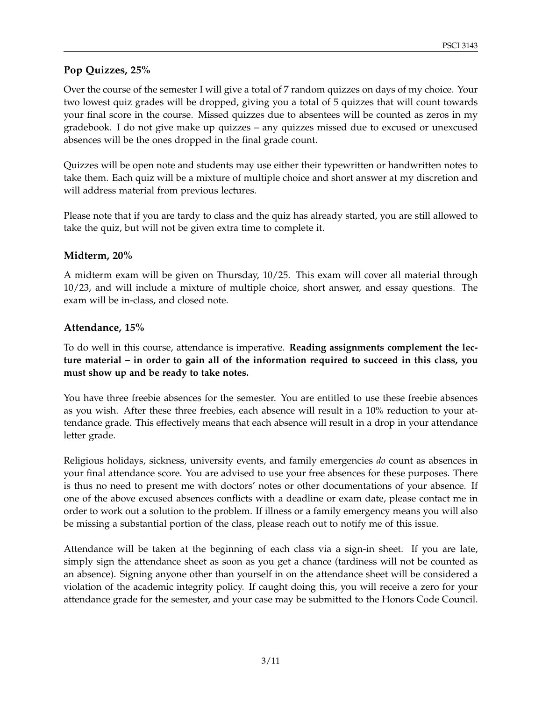### **Pop Quizzes, 25%**

Over the course of the semester I will give a total of 7 random quizzes on days of my choice. Your two lowest quiz grades will be dropped, giving you a total of 5 quizzes that will count towards your final score in the course. Missed quizzes due to absentees will be counted as zeros in my gradebook. I do not give make up quizzes – any quizzes missed due to excused or unexcused absences will be the ones dropped in the final grade count.

Quizzes will be open note and students may use either their typewritten or handwritten notes to take them. Each quiz will be a mixture of multiple choice and short answer at my discretion and will address material from previous lectures.

Please note that if you are tardy to class and the quiz has already started, you are still allowed to take the quiz, but will not be given extra time to complete it.

#### **Midterm, 20%**

A midterm exam will be given on Thursday, 10/25. This exam will cover all material through 10/23, and will include a mixture of multiple choice, short answer, and essay questions. The exam will be in-class, and closed note.

#### **Attendance, 15%**

To do well in this course, attendance is imperative. **Reading assignments complement the lecture material – in order to gain all of the information required to succeed in this class, you must show up and be ready to take notes.**

You have three freebie absences for the semester. You are entitled to use these freebie absences as you wish. After these three freebies, each absence will result in a 10% reduction to your attendance grade. This effectively means that each absence will result in a drop in your attendance letter grade.

Religious holidays, sickness, university events, and family emergencies *do* count as absences in your final attendance score. You are advised to use your free absences for these purposes. There is thus no need to present me with doctors' notes or other documentations of your absence. If one of the above excused absences conflicts with a deadline or exam date, please contact me in order to work out a solution to the problem. If illness or a family emergency means you will also be missing a substantial portion of the class, please reach out to notify me of this issue.

Attendance will be taken at the beginning of each class via a sign-in sheet. If you are late, simply sign the attendance sheet as soon as you get a chance (tardiness will not be counted as an absence). Signing anyone other than yourself in on the attendance sheet will be considered a violation of the academic integrity policy. If caught doing this, you will receive a zero for your attendance grade for the semester, and your case may be submitted to the Honors Code Council.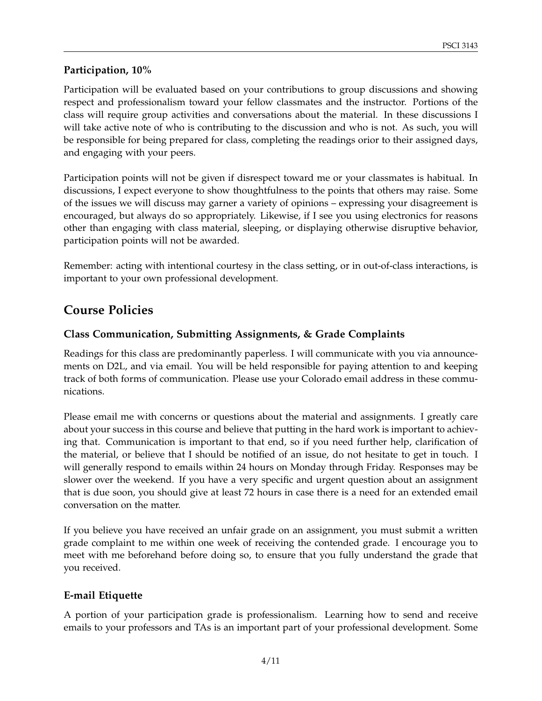### **Participation, 10%**

Participation will be evaluated based on your contributions to group discussions and showing respect and professionalism toward your fellow classmates and the instructor. Portions of the class will require group activities and conversations about the material. In these discussions I will take active note of who is contributing to the discussion and who is not. As such, you will be responsible for being prepared for class, completing the readings orior to their assigned days, and engaging with your peers.

Participation points will not be given if disrespect toward me or your classmates is habitual. In discussions, I expect everyone to show thoughtfulness to the points that others may raise. Some of the issues we will discuss may garner a variety of opinions – expressing your disagreement is encouraged, but always do so appropriately. Likewise, if I see you using electronics for reasons other than engaging with class material, sleeping, or displaying otherwise disruptive behavior, participation points will not be awarded.

Remember: acting with intentional courtesy in the class setting, or in out-of-class interactions, is important to your own professional development.

# **Course Policies**

### **Class Communication, Submitting Assignments, & Grade Complaints**

Readings for this class are predominantly paperless. I will communicate with you via announcements on D2L, and via email. You will be held responsible for paying attention to and keeping track of both forms of communication. Please use your Colorado email address in these communications.

Please email me with concerns or questions about the material and assignments. I greatly care about your success in this course and believe that putting in the hard work is important to achieving that. Communication is important to that end, so if you need further help, clarification of the material, or believe that I should be notified of an issue, do not hesitate to get in touch. I will generally respond to emails within 24 hours on Monday through Friday. Responses may be slower over the weekend. If you have a very specific and urgent question about an assignment that is due soon, you should give at least 72 hours in case there is a need for an extended email conversation on the matter.

If you believe you have received an unfair grade on an assignment, you must submit a written grade complaint to me within one week of receiving the contended grade. I encourage you to meet with me beforehand before doing so, to ensure that you fully understand the grade that you received.

#### **E-mail Etiquette**

A portion of your participation grade is professionalism. Learning how to send and receive emails to your professors and TAs is an important part of your professional development. Some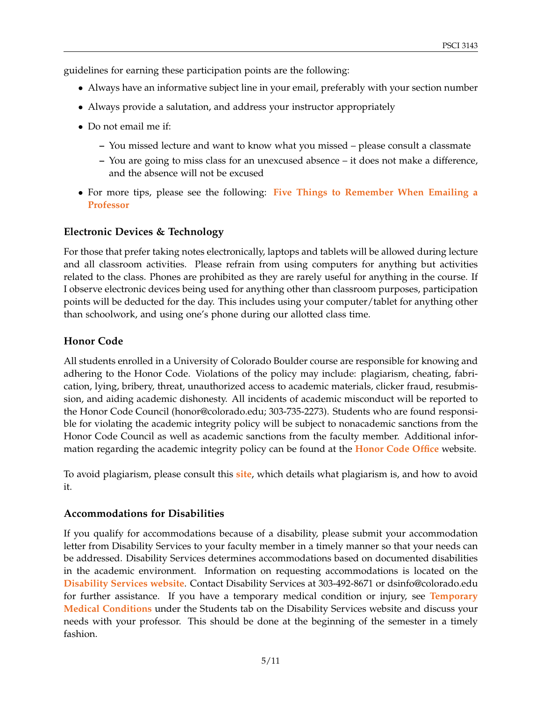guidelines for earning these participation points are the following:

- Always have an informative subject line in your email, preferably with your section number
- Always provide a salutation, and address your instructor appropriately
- Do not email me if:
	- **–** You missed lecture and want to know what you missed please consult a classmate
	- **–** You are going to miss class for an unexcused absence it does not make a difference, and the absence will not be excused
- For more tips, please see the following: **[Five Things to Remember When Emailing a](http://college.usatoday.com/2012/03/15/five-things-to-remember-when-e-mailing-a-professor/) [Professor](http://college.usatoday.com/2012/03/15/five-things-to-remember-when-e-mailing-a-professor/)**

#### **Electronic Devices & Technology**

For those that prefer taking notes electronically, laptops and tablets will be allowed during lecture and all classroom activities. Please refrain from using computers for anything but activities related to the class. Phones are prohibited as they are rarely useful for anything in the course. If I observe electronic devices being used for anything other than classroom purposes, participation points will be deducted for the day. This includes using your computer/tablet for anything other than schoolwork, and using one's phone during our allotted class time.

### **Honor Code**

All students enrolled in a University of Colorado Boulder course are responsible for knowing and adhering to the Honor Code. Violations of the policy may include: plagiarism, cheating, fabrication, lying, bribery, threat, unauthorized access to academic materials, clicker fraud, resubmission, and aiding academic dishonesty. All incidents of academic misconduct will be reported to the Honor Code Council (honor@colorado.edu; 303-735-2273). Students who are found responsible for violating the academic integrity policy will be subject to nonacademic sanctions from the Honor Code Council as well as academic sanctions from the faculty member. Additional information regarding the academic integrity policy can be found at the **[Honor Code Office](https://www.colorado.edu/osccr/honor-code)** website.

To avoid plagiarism, please consult this **[site](https://www.colorado.edu/osccr/honor-code)**, which details what plagiarism is, and how to avoid it.

#### **Accommodations for Disabilities**

If you qualify for accommodations because of a disability, please submit your accommodation letter from Disability Services to your faculty member in a timely manner so that your needs can be addressed. Disability Services determines accommodations based on documented disabilities in the academic environment. Information on requesting accommodations is located on the **[Disability Services website](https://www.colorado.edu/disabilityservices/students)**. Contact Disability Services at 303-492-8671 or dsinfo@colorado.edu for further assistance. If you have a temporary medical condition or injury, see **[Temporary](https://www.colorado.edu/disabilityservices/students/temporary-medical-conditions) [Medical Conditions](https://www.colorado.edu/disabilityservices/students/temporary-medical-conditions)** under the Students tab on the Disability Services website and discuss your needs with your professor. This should be done at the beginning of the semester in a timely fashion.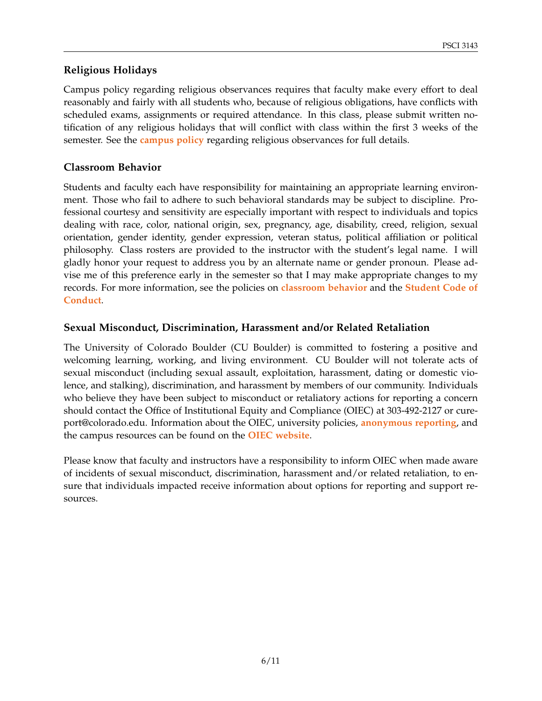### **Religious Holidays**

Campus policy regarding religious observances requires that faculty make every effort to deal reasonably and fairly with all students who, because of religious obligations, have conflicts with scheduled exams, assignments or required attendance. In this class, please submit written notification of any religious holidays that will conflict with class within the first 3 weeks of the semester. See the **[campus policy](https://www.colorado.edu/policies/observance-religious-holidays-and-absences-classes-andor-exams)** regarding religious observances for full details.

#### **Classroom Behavior**

Students and faculty each have responsibility for maintaining an appropriate learning environment. Those who fail to adhere to such behavioral standards may be subject to discipline. Professional courtesy and sensitivity are especially important with respect to individuals and topics dealing with race, color, national origin, sex, pregnancy, age, disability, creed, religion, sexual orientation, gender identity, gender expression, veteran status, political affiliation or political philosophy. Class rosters are provided to the instructor with the student's legal name. I will gladly honor your request to address you by an alternate name or gender pronoun. Please advise me of this preference early in the semester so that I may make appropriate changes to my records. For more information, see the policies on **[classroom behavior](https://www.colorado.edu/policies/student-classroom-and-course-related-behavior)** and the **[Student Code of](https://www.colorado.edu/osccr/) [Conduct](https://www.colorado.edu/osccr/)**.

#### **Sexual Misconduct, Discrimination, Harassment and/or Related Retaliation**

The University of Colorado Boulder (CU Boulder) is committed to fostering a positive and welcoming learning, working, and living environment. CU Boulder will not tolerate acts of sexual misconduct (including sexual assault, exploitation, harassment, dating or domestic violence, and stalking), discrimination, and harassment by members of our community. Individuals who believe they have been subject to misconduct or retaliatory actions for reporting a concern should contact the Office of Institutional Equity and Compliance (OIEC) at 303-492-2127 or cureport@colorado.edu. Information about the OIEC, university policies, **[anonymous reporting](https://cuboulder.qualtrics.com/jfe/form/SV_0PnqVK4kkIJIZnf)**, and the campus resources can be found on the **[OIEC website](https://www.colorado.edu/institutionalequity/)**.

Please know that faculty and instructors have a responsibility to inform OIEC when made aware of incidents of sexual misconduct, discrimination, harassment and/or related retaliation, to ensure that individuals impacted receive information about options for reporting and support resources.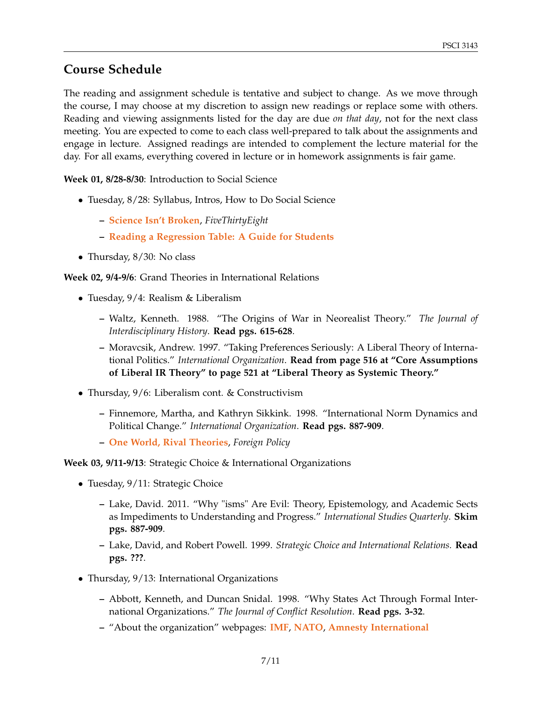# **Course Schedule**

The reading and assignment schedule is tentative and subject to change. As we move through the course, I may choose at my discretion to assign new readings or replace some with others. Reading and viewing assignments listed for the day are due *on that day*, not for the next class meeting. You are expected to come to each class well-prepared to talk about the assignments and engage in lecture. Assigned readings are intended to complement the lecture material for the day. For all exams, everything covered in lecture or in homework assignments is fair game.

**Week 01, 8/28-8/30**: Introduction to Social Science

- Tuesday, 8/28: Syllabus, Intros, How to Do Social Science
	- **– [Science Isn't Broken](https://fivethirtyeight.com/features/science-isnt-broken/)**, *FiveThirtyEight*
	- **– [Reading a Regression Table: A Guide for Students](http://svmiller.com/blog/2014/08/reading-a-regression-table-a-guide-for-students/)**
- Thursday, 8/30: No class

**Week 02, 9/4-9/6**: Grand Theories in International Relations

- Tuesday, 9/4: Realism & Liberalism
	- **–** Waltz, Kenneth. 1988. "The Origins of War in Neorealist Theory." *The Journal of Interdisciplinary History*. **Read pgs. 615-628**.
	- **–** Moravcsik, Andrew. 1997. "Taking Preferences Seriously: A Liberal Theory of International Politics." *International Organization*. **Read from page 516 at "Core Assumptions of Liberal IR Theory" to page 521 at "Liberal Theory as Systemic Theory."**
- Thursday, 9/6: Liberalism cont. & Constructivism
	- **–** Finnemore, Martha, and Kathryn Sikkink. 1998. "International Norm Dynamics and Political Change." *International Organization*. **Read pgs. 887-909**.
	- **– [One World, Rival Theories](https://foreignpolicy.com/2009/10/26/one-world-rival-theories/)**, *Foreign Policy*

#### **Week 03, 9/11-9/13**: Strategic Choice & International Organizations

- Tuesday, 9/11: Strategic Choice
	- **–** Lake, David. 2011. "Why "isms" Are Evil: Theory, Epistemology, and Academic Sects as Impediments to Understanding and Progress." *International Studies Quarterly*. **Skim pgs. 887-909**.
	- **–** Lake, David, and Robert Powell. 1999. *Strategic Choice and International Relations.* **Read pgs. ???**.
- Thursday, 9/13: International Organizations
	- **–** Abbott, Kenneth, and Duncan Snidal. 1998. "Why States Act Through Formal International Organizations." *The Journal of Conflict Resolution*. **Read pgs. 3-32**.
	- **–** "About the organization" webpages: **[IMF](http://www.imf.org/en/About)**, **[NATO](https://www.nato.int/nato-welcome/index.html)**, **[Amnesty International](https://www.amnesty.org/en/who-we-are/)**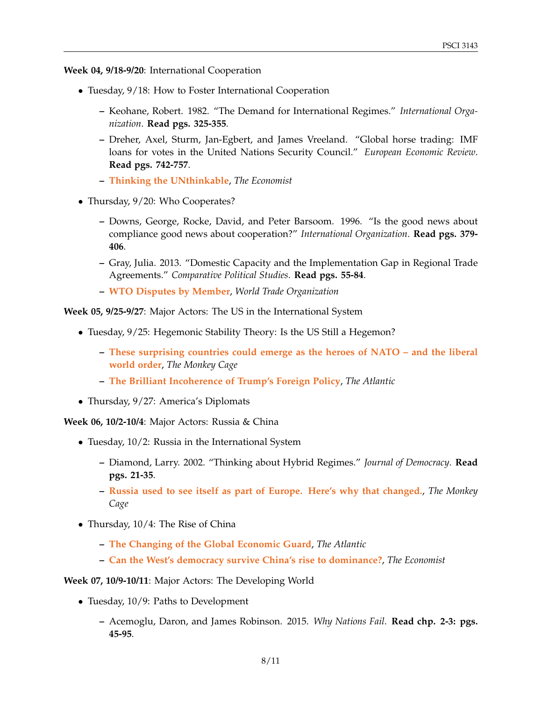**Week 04, 9/18-9/20**: International Cooperation

- Tuesday,  $9/18$ : How to Foster International Cooperation
	- **–** Keohane, Robert. 1982. "The Demand for International Regimes." *International Organization*. **Read pgs. 325-355**.
	- **–** Dreher, Axel, Sturm, Jan-Egbert, and James Vreeland. "Global horse trading: IMF loans for votes in the United Nations Security Council." *European Economic Review*. **Read pgs. 742-757**.
	- **– [Thinking the UNthinkable](https://www.economist.com/leaders/2010/11/11/thinking-the-unthinkable)**, *The Economist*
- Thursday, 9/20: Who Cooperates?
	- **–** Downs, George, Rocke, David, and Peter Barsoom. 1996. "Is the good news about compliance good news about cooperation?" *International Organization*. **Read pgs. 379- 406**.
	- **–** Gray, Julia. 2013. "Domestic Capacity and the Implementation Gap in Regional Trade Agreements." *Comparative Political Studies*. **Read pgs. 55-84**.
	- **– [WTO Disputes by Member](https://www.wto.org/english/tratop_e/dispu_e/dispu_by_country_e.htm)**, *World Trade Organization*

**Week 05, 9/25-9/27**: Major Actors: The US in the International System

- Tuesday, 9/25: Hegemonic Stability Theory: Is the US Still a Hegemon?
	- **– [These surprising countries could emerge as the heroes of NATO and the liberal](https://www.washingtonpost.com/news/monkey-cage/wp/2018/07/10/middle-powers-could-emerge-as-the-heroes-of-the-liberal-world-order-and-nato/?utm_term=.0a306215b482) [world order](https://www.washingtonpost.com/news/monkey-cage/wp/2018/07/10/middle-powers-could-emerge-as-the-heroes-of-the-liberal-world-order-and-nato/?utm_term=.0a306215b482)**, *The Monkey Cage*
	- **– [The Brilliant Incoherence of Trump's Foreign Policy](https://www.theatlantic.com/magazine/archive/2017/05/the-brilliant-incoherence-of-trumps-foreign-policy/521430/)**, *The Atlantic*
- Thursday, 9/27: America's Diplomats

**Week 06, 10/2-10/4**: Major Actors: Russia & China

- Tuesday, 10/2: Russia in the International System
	- **–** Diamond, Larry. 2002. "Thinking about Hybrid Regimes." *Journal of Democracy*. **Read pgs. 21-35**.
	- **– [Russia used to see itself as part of Europe. Here's why that changed.](https://www.washingtonpost.com/news/monkey-cage/wp/2018/06/18/russias-relations-with-the-e-u-werent-always-this-bad-but-theyve-been-deteriorating-for-a-long-time/?utm_term=.abefb11f3be9)**, *The Monkey Cage*
- Thursday, 10/4: The Rise of China
	- **– [The Changing of the Global Economic Guard](https://www.theatlantic.com/international/archive/2017/04/china-economy-populism/523989/)**, *The Atlantic*
	- **– [Can the West's democracy survive China's rise to dominance?](https://www.economist.com/open-future/2018/06/14/can-the-wests-democracy-survive-chinas-rise-to-dominance)**, *The Economist*

#### **Week 07, 10/9-10/11**: Major Actors: The Developing World

- Tuesday, 10/9: Paths to Development
	- **–** Acemoglu, Daron, and James Robinson. 2015. *Why Nations Fail*. **Read chp. 2-3: pgs. 45-95**.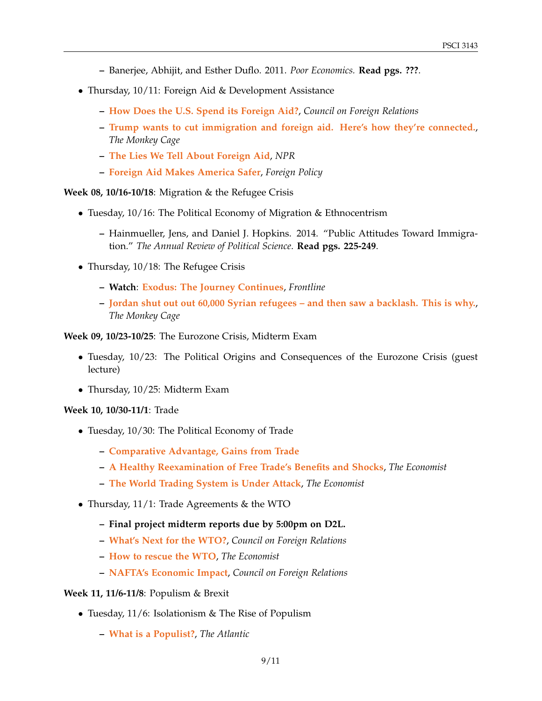- **–** Banerjee, Abhijit, and Esther Duflo. 2011. *Poor Economics.* **Read pgs. ???**.
- Thursday, 10/11: Foreign Aid & Development Assistance
	- **– [How Does the U.S. Spend its Foreign Aid?](https://www.cfr.org/backgrounder/how-does-us-spend-its-foreign-aid)**, *Council on Foreign Relations*
	- **– [Trump wants to cut immigration and foreign aid. Here's how they're connected.](https://www.washingtonpost.com/news/monkey-cage/wp/2018/02/22/trump-wants-to-cut-immigration-and-foreign-aid-heres-how-theyre-connected/?utm_term=.062a0c21ced3)**, *The Monkey Cage*
	- **– [The Lies We Tell About Foreign Aid](https://www.npr.org/sections/goatsandsoda/2018/06/04/612301682/the-lies-we-tell-about-foreign-aid)**, *NPR*
	- **– [Foreign Aid Makes America Safer](https://foreignpolicy.com/2018/04/11/foreign-aid-makes-america-safer/)**, *Foreign Policy*

**Week 08, 10/16-10/18**: Migration & the Refugee Crisis

- Tuesday, 10/16: The Political Economy of Migration & Ethnocentrism
	- **–** Hainmueller, Jens, and Daniel J. Hopkins. 2014. "Public Attitudes Toward Immigration." *The Annual Review of Political Science*. **Read pgs. 225-249**.
- Thursday, 10/18: The Refugee Crisis
	- **– Watch**: **[Exodus: The Journey Continues](https://www.pbs.org/wgbh/frontline/film/exodus-the-journey-continues/)**, *Frontline*
	- **– [Jordan shut out out 60,000 Syrian refugees and then saw a backlash. This is why.](https://www.washingtonpost.com/news/monkey-cage/wp/2018/07/20/when-jordan-closed-its-border-to-refugees-the-public-protested-heres-why/?utm_term=.2fea54df34df)**, *The Monkey Cage*

**Week 09, 10/23-10/25**: The Eurozone Crisis, Midterm Exam

- Tuesday, 10/23: The Political Origins and Consequences of the Eurozone Crisis (guest lecture)
- Thursday, 10/25: Midterm Exam

#### **Week 10, 10/30-11/1**: Trade

- Tuesday, 10/30: The Political Economy of Trade
	- **– [Comparative Advantage, Gains from Trade](https://www.khanacademy.org/economics-finance-domain/ap-macroeconomics/basic-economics-concepts-macro/scarcity-and-growth/a/lesson-summary-comparative-advantage-and-gains-from-trade)**
	- **– [A Healthy Reexamination of Free Trade's Benefits and Shocks](https://www.economist.com/open-future/2018/05/04/a-healthy-re-examination-of-free-trades-benefits-and-shocks)**, *The Economist*
	- **– [The World Trading System is Under Attack](https://www.economist.com/news/briefing/21746272-peace-plan-may-be-emerging-world-trading-system-under-attack)**, *The Economist*
- Thursday, 11/1: Trade Agreements & the WTO
	- **– Final project midterm reports due by 5:00pm on D2L.**
	- **– [What's Next for the WTO?](https://www.cfr.org/backgrounder/whats-next-wto)**, *Council on Foreign Relations*
	- **– [How to rescue the WTO](https://www.economist.com/leaders/2018/07/19/how-to-rescue-the-wto)**, *The Economist*
	- **– [NAFTA's Economic Impact](https://www.cfr.org/backgrounder/naftas-economic-impact)**, *Council on Foreign Relations*

#### **Week 11, 11/6-11/8**: Populism & Brexit

- Tuesday, 11/6: Isolationism & The Rise of Populism
	- **– [What is a Populist?](https://www.theatlantic.com/international/archive/2017/02/what-is-populist-trump/516525/)**, *The Atlantic*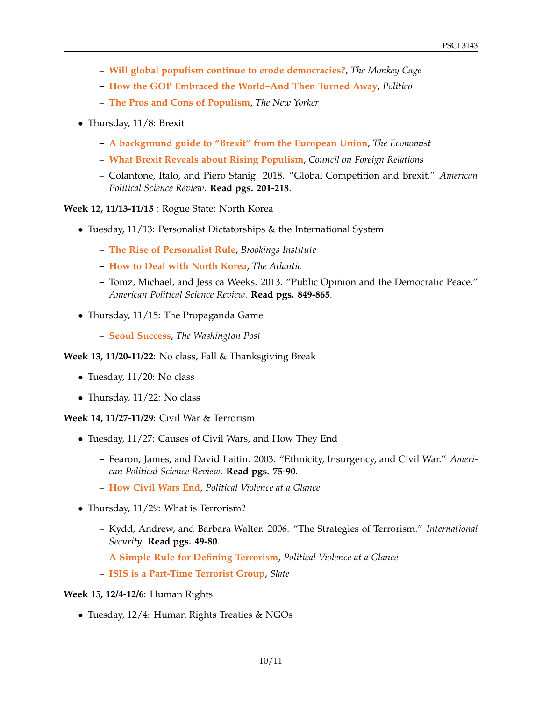- **– [Will global populism continue to erode democracies?](https://www.washingtonpost.com/news/monkey-cage/wp/2017/09/13/will-global-populism-continue-to-erode-democracies/?utm_term=.88e7fb8635db)**, *The Monkey Cage*
- **– [How the GOP Embraced the World–And Then Turned Away](https://www.politico.com/magazine/story/2018/07/13/gop-isolationism-trump-eisenhower-219003)**, *Politico*
- **– [The Pros and Cons of Populism](https://www.newyorker.com/magazine/2015/09/07/the-populists)**, *The New Yorker*
- Thursday, 11/8: Brexit
	- **– [A background guide to "Brexit" from the European Union](https://www.economist.com/graphic-detail/2016/02/24/a-background-guide-to-brexit-from-the-european-union)**, *The Economist*
	- **– [What Brexit Reveals about Rising Populism](https://www.cfr.org/interview/what-brexit-reveals-about-rising-populism)**, *Council on Foreign Relations*
	- **–** Colantone, Italo, and Piero Stanig. 2018. "Global Competition and Brexit." *American Political Science Review*. **Read pgs. 201-218**.

**Week 12, 11/13-11/15** : Rogue State: North Korea

- Tuesday, 11/13: Personalist Dictatorships & the International System
	- **– [The Rise of Personalist Rule](https://www.brookings.edu/blog/order-from-chaos/2017/03/23/the-rise-of-personalist-rule/)**, *Brookings Institute*
	- **– [How to Deal with North Korea](https://www.theatlantic.com/magazine/archive/2017/07/the-worst-problem-on-earth/528717/)**, *The Atlantic*
	- **–** Tomz, Michael, and Jessica Weeks. 2013. "Public Opinion and the Democratic Peace." *American Political Science Review*. **Read pgs. 849-865**.
- Thursday, 11/15: The Propaganda Game
	- **– [Seoul Success](https://www.washingtonpost.com/graphics/2018/world/a-new-generation-of-north-korean-defectors-is-thriving-in-seoul/?utm_term=.d3344fd8f38f)**, *The Washington Post*

**Week 13, 11/20-11/22**: No class, Fall & Thanksgiving Break

- Tuesday, 11/20: No class
- Thursday, 11/22: No class

**Week 14, 11/27-11/29**: Civil War & Terrorism

- Tuesday, 11/27: Causes of Civil Wars, and How They End
	- **–** Fearon, James, and David Laitin. 2003. "Ethnicity, Insurgency, and Civil War." *American Political Science Review*. **Read pgs. 75-90**.
	- **– [How Civil Wars End](http://politicalviolenceataglance.org/2018/02/09/how-civil-wars-end/)**, *Political Violence at a Glance*
- Thursday, 11/29: What is Terrorism?
	- **–** Kydd, Andrew, and Barbara Walter. 2006. "The Strategies of Terrorism." *International Security*. **Read pgs. 49-80**.
	- **– [A Simple Rule for Defining Terrorism](http://politicalviolenceataglance.org/2016/12/02/a-simple-rule-for-defining-terrorism/)**, *Political Violence at a Glance*
	- **– [ISIS is a Part-Time Terrorist Group](http://www.slate.com/blogs/the_world_/2014/10/27/terrorists_or_rebels_what_do_groups_like_isis_and_al_qaida_actually_spend.html)**, *Slate*

#### **Week 15, 12/4-12/6**: Human Rights

• Tuesday, 12/4: Human Rights Treaties & NGOs